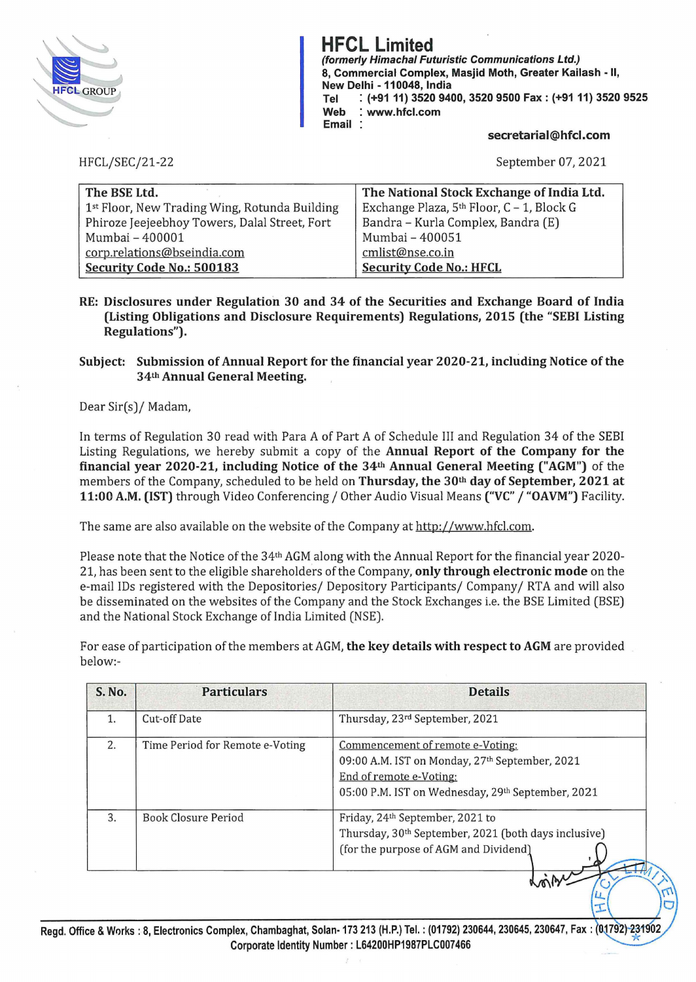

**HFCL Limited (formerly Himachal Futuristic Communications Ltd.) 8, Commercial Complex, Masjid Moth, Greater Kailash** • II, **New Delhi** • **110048, India Tel** : **(+9111) 3520 9400, 3520 9500 Fax: (+9111) 3520 9525 Web** : **www.hfcl.com Email** 

**secretarial@hfcl.com** 

 $\mathbf{L}$ 

September 07, 2021

| The BSE Ltd.                                  | The National Stock Exchange of India Ltd. |
|-----------------------------------------------|-------------------------------------------|
| 1st Floor, New Trading Wing, Rotunda Building | Exchange Plaza, 5th Floor, C - 1, Block G |
| Phiroze Jeejeebhoy Towers, Dalal Street, Fort | Bandra - Kurla Complex, Bandra (E)        |
| Mumbai - 400001                               | Mumbai - 400051                           |
| corp.relations@bseindia.com                   | cmlist@nse.co.in                          |
| Security Code No.: 500183                     | <b>Security Code No.: HFCL</b>            |

**RE: Disclosures under Regulation 30 and 34 of the Securities and Exchange Board of India (Listing Obligations and Disclosure Requirements) Regulations, 2015 (the "SEBI Listing Regulations").** 

## **Subject: Submission of Annual Report for the financial year 2020-21, including Notice of the 34th Annual General Meeting.**

Dear Sir(s)/ Madam,

HFCL/SEC/21-22

In terms of Regulation 30 read with Para *A* of Part *A* of Schedule III and Regulation 34 of the SEBI Listing Regulations, we hereby submit a copy of the **Annual Report of the Company for the financial year 2020-21, including Notice of the 34th Annual General Meeting ("AGM")** of the members of the Company, scheduled to be held on **Thursday, the 30th day of September, 2021 at 11:00 A.M. (1ST)** through Video Conferencing/ Other Audio Visual Means **("VC"** / **"OAVM")** Facility.

The same are also available on the website of the Company at http://www.hfcl.com.

Please note that the Notice of the 34th AGM along with the Annual Report for the financial year 2020- 21, has been sent to the eligible shareholders of the Company, **only through electronic mode** on the e-mail IDs registered with the Depositories/ Depository Participants/ Company/ RTA and will also be disseminated on the websites of the Company and the Stock Exchanges i.e. the BSE Limited (BSE) and the National Stock Exchange of India Limited (NSE).

For ease of participation of the members at AGM, **the key details with respect to AGM** are provided below:-

| <b>S. No.</b> | <b>Particulars</b>              | <b>Details</b>                                                                                                                                                     |
|---------------|---------------------------------|--------------------------------------------------------------------------------------------------------------------------------------------------------------------|
| 1.            | Cut-off Date                    | Thursday, 23rd September, 2021                                                                                                                                     |
| 2.            | Time Period for Remote e-Voting | Commencement of remote e-Voting:<br>09:00 A.M. IST on Monday, 27th September, 2021<br>End of remote e-Voting:<br>05:00 P.M. IST on Wednesday, 29th September, 2021 |
| 3.            | <b>Book Closure Period</b>      | Friday, 24th September, 2021 to<br>Thursday, 30th September, 2021 (both days inclusive)<br>(for the purpose of AGM and Dividend)<br>$\lambda$                      |